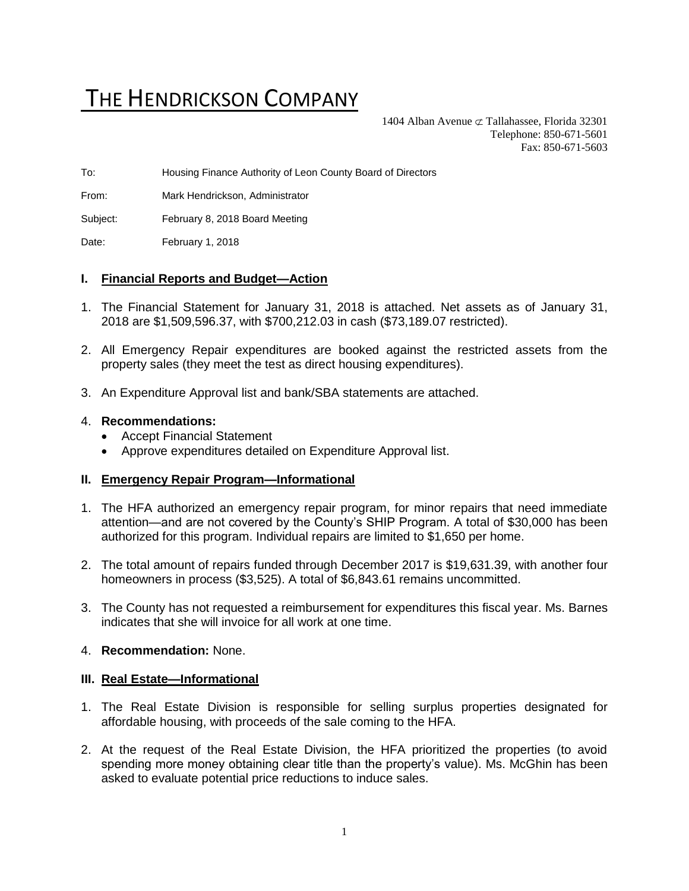# THE HENDRICKSON COMPANY

1404 Alban Avenue  $\subset \text{Tallahasse}$ , Florida 32301 Telephone: 850-671-5601 Fax: 850-671-5603

To: Housing Finance Authority of Leon County Board of Directors

From: Mark Hendrickson, Administrator

Subject: February 8, 2018 Board Meeting

Date: February 1, 2018

## **I. Financial Reports and Budget—Action**

- 1. The Financial Statement for January 31, 2018 is attached. Net assets as of January 31, 2018 are \$1,509,596.37, with \$700,212.03 in cash (\$73,189.07 restricted).
- 2. All Emergency Repair expenditures are booked against the restricted assets from the property sales (they meet the test as direct housing expenditures).
- 3. An Expenditure Approval list and bank/SBA statements are attached.

### 4. **Recommendations:**

- Accept Financial Statement
- Approve expenditures detailed on Expenditure Approval list.

### **II. Emergency Repair Program—Informational**

- 1. The HFA authorized an emergency repair program, for minor repairs that need immediate attention—and are not covered by the County's SHIP Program. A total of \$30,000 has been authorized for this program. Individual repairs are limited to \$1,650 per home.
- 2. The total amount of repairs funded through December 2017 is \$19,631.39, with another four homeowners in process (\$3,525). A total of \$6,843.61 remains uncommitted.
- 3. The County has not requested a reimbursement for expenditures this fiscal year. Ms. Barnes indicates that she will invoice for all work at one time.

## 4. **Recommendation:** None.

### **III. Real Estate—Informational**

- 1. The Real Estate Division is responsible for selling surplus properties designated for affordable housing, with proceeds of the sale coming to the HFA.
- 2. At the request of the Real Estate Division, the HFA prioritized the properties (to avoid spending more money obtaining clear title than the property's value). Ms. McGhin has been asked to evaluate potential price reductions to induce sales.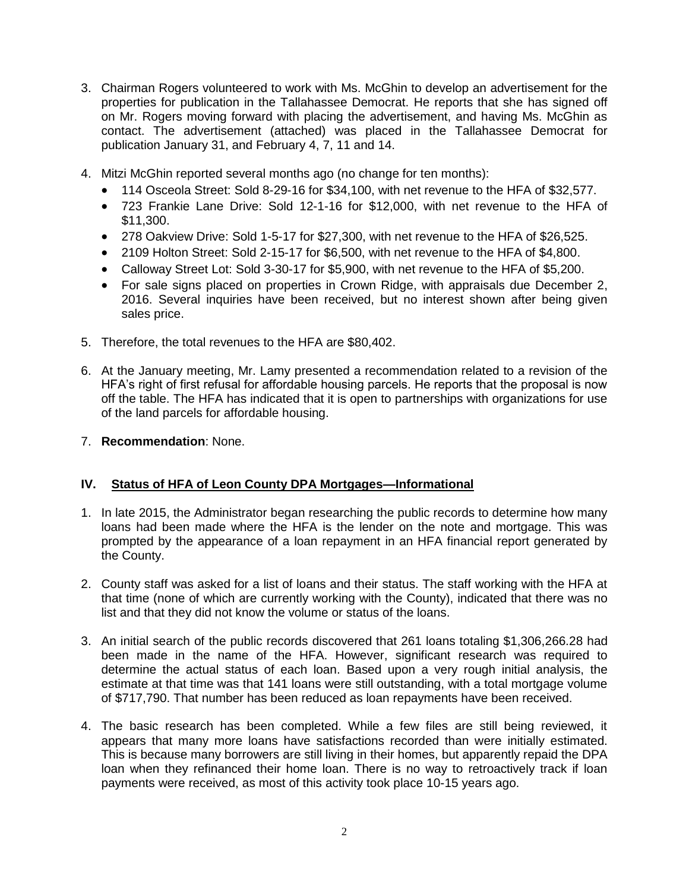- 3. Chairman Rogers volunteered to work with Ms. McGhin to develop an advertisement for the properties for publication in the Tallahassee Democrat. He reports that she has signed off on Mr. Rogers moving forward with placing the advertisement, and having Ms. McGhin as contact. The advertisement (attached) was placed in the Tallahassee Democrat for publication January 31, and February 4, 7, 11 and 14.
- 4. Mitzi McGhin reported several months ago (no change for ten months):
	- 114 Osceola Street: Sold 8-29-16 for \$34,100, with net revenue to the HFA of \$32,577.
	- 723 Frankie Lane Drive: Sold 12-1-16 for \$12,000, with net revenue to the HFA of \$11,300.
	- 278 Oakview Drive: Sold 1-5-17 for \$27,300, with net revenue to the HFA of \$26,525.
	- 2109 Holton Street: Sold 2-15-17 for \$6,500, with net revenue to the HFA of \$4,800.
	- Calloway Street Lot: Sold 3-30-17 for \$5,900, with net revenue to the HFA of \$5,200.
	- For sale signs placed on properties in Crown Ridge, with appraisals due December 2, 2016. Several inquiries have been received, but no interest shown after being given sales price.
- 5. Therefore, the total revenues to the HFA are \$80,402.
- 6. At the January meeting, Mr. Lamy presented a recommendation related to a revision of the HFA's right of first refusal for affordable housing parcels. He reports that the proposal is now off the table. The HFA has indicated that it is open to partnerships with organizations for use of the land parcels for affordable housing.
- 7. **Recommendation**: None.

## **IV. Status of HFA of Leon County DPA Mortgages—Informational**

- 1. In late 2015, the Administrator began researching the public records to determine how many loans had been made where the HFA is the lender on the note and mortgage. This was prompted by the appearance of a loan repayment in an HFA financial report generated by the County.
- 2. County staff was asked for a list of loans and their status. The staff working with the HFA at that time (none of which are currently working with the County), indicated that there was no list and that they did not know the volume or status of the loans.
- 3. An initial search of the public records discovered that 261 loans totaling \$1,306,266.28 had been made in the name of the HFA. However, significant research was required to determine the actual status of each loan. Based upon a very rough initial analysis, the estimate at that time was that 141 loans were still outstanding, with a total mortgage volume of \$717,790. That number has been reduced as loan repayments have been received.
- 4. The basic research has been completed. While a few files are still being reviewed, it appears that many more loans have satisfactions recorded than were initially estimated. This is because many borrowers are still living in their homes, but apparently repaid the DPA loan when they refinanced their home loan. There is no way to retroactively track if loan payments were received, as most of this activity took place 10-15 years ago.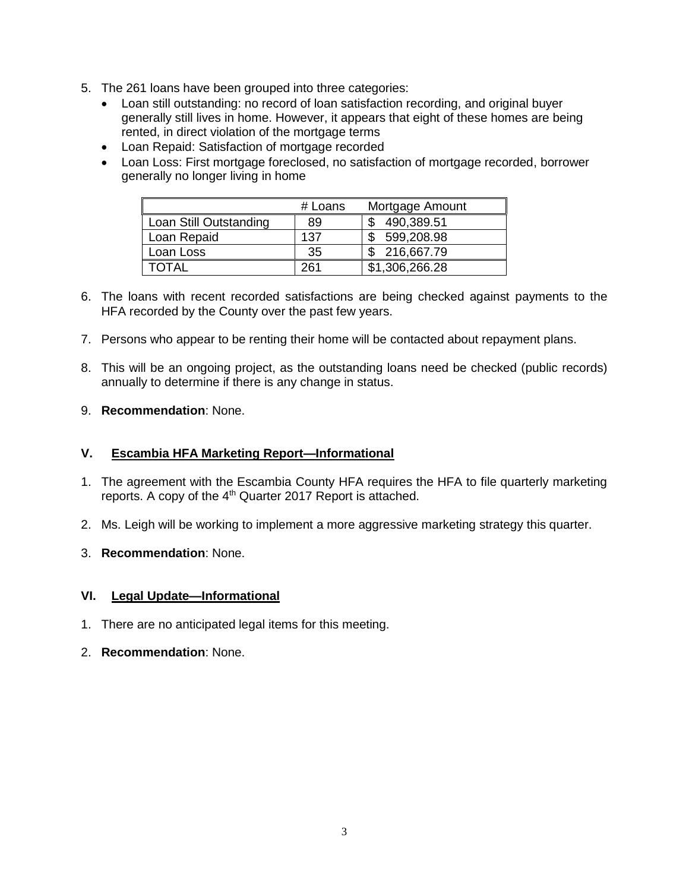- 5. The 261 loans have been grouped into three categories:
	- Loan still outstanding: no record of loan satisfaction recording, and original buyer generally still lives in home. However, it appears that eight of these homes are being rented, in direct violation of the mortgage terms
	- Loan Repaid: Satisfaction of mortgage recorded
	- Loan Loss: First mortgage foreclosed, no satisfaction of mortgage recorded, borrower generally no longer living in home

|                        | # Loans | Mortgage Amount |
|------------------------|---------|-----------------|
| Loan Still Outstanding | 89      | 490,389.51      |
| Loan Repaid            | 137     | 599,208.98      |
| Loan Loss              | 35      | 216,667.79      |
| TOTAI                  | 261     | \$1,306,266.28  |

- 6. The loans with recent recorded satisfactions are being checked against payments to the HFA recorded by the County over the past few years.
- 7. Persons who appear to be renting their home will be contacted about repayment plans.
- 8. This will be an ongoing project, as the outstanding loans need be checked (public records) annually to determine if there is any change in status.
- 9. **Recommendation**: None.

## **V. Escambia HFA Marketing Report—Informational**

- 1. The agreement with the Escambia County HFA requires the HFA to file quarterly marketing reports. A copy of the  $4<sup>th</sup>$  Quarter 2017 Report is attached.
- 2. Ms. Leigh will be working to implement a more aggressive marketing strategy this quarter.
- 3. **Recommendation**: None.

### **VI. Legal Update—Informational**

- 1. There are no anticipated legal items for this meeting.
- 2. **Recommendation**: None.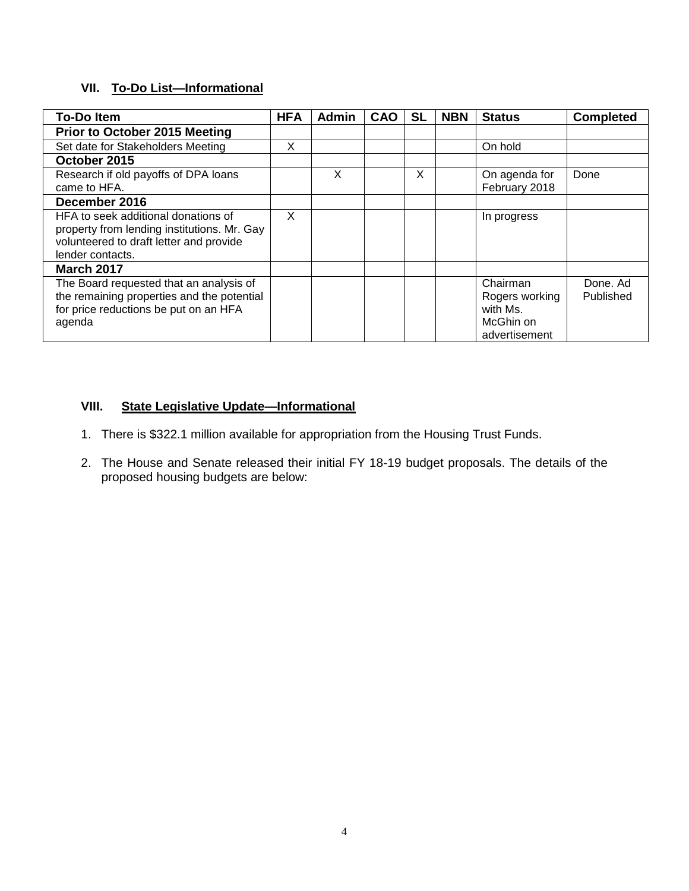# **VII. To-Do List—Informational**

| <b>To-Do Item</b>                                                                                                                                 | <b>HFA</b> | <b>Admin</b> | <b>CAO</b> | <b>SL</b> | <b>NBN</b> | <b>Status</b>                                                        | <b>Completed</b>      |
|---------------------------------------------------------------------------------------------------------------------------------------------------|------------|--------------|------------|-----------|------------|----------------------------------------------------------------------|-----------------------|
| <b>Prior to October 2015 Meeting</b>                                                                                                              |            |              |            |           |            |                                                                      |                       |
| Set date for Stakeholders Meeting                                                                                                                 | X          |              |            |           |            | On hold                                                              |                       |
| October 2015                                                                                                                                      |            |              |            |           |            |                                                                      |                       |
| Research if old payoffs of DPA loans<br>came to HFA.                                                                                              |            | X            |            | X         |            | On agenda for<br>February 2018                                       | Done                  |
| December 2016                                                                                                                                     |            |              |            |           |            |                                                                      |                       |
| HFA to seek additional donations of<br>property from lending institutions. Mr. Gay<br>volunteered to draft letter and provide<br>lender contacts. | X          |              |            |           |            | In progress                                                          |                       |
| <b>March 2017</b>                                                                                                                                 |            |              |            |           |            |                                                                      |                       |
| The Board requested that an analysis of<br>the remaining properties and the potential<br>for price reductions be put on an HFA<br>agenda          |            |              |            |           |            | Chairman<br>Rogers working<br>with Ms.<br>McGhin on<br>advertisement | Done, Ad<br>Published |

## **VIII. State Legislative Update—Informational**

- 1. There is \$322.1 million available for appropriation from the Housing Trust Funds.
- 2. The House and Senate released their initial FY 18-19 budget proposals. The details of the proposed housing budgets are below: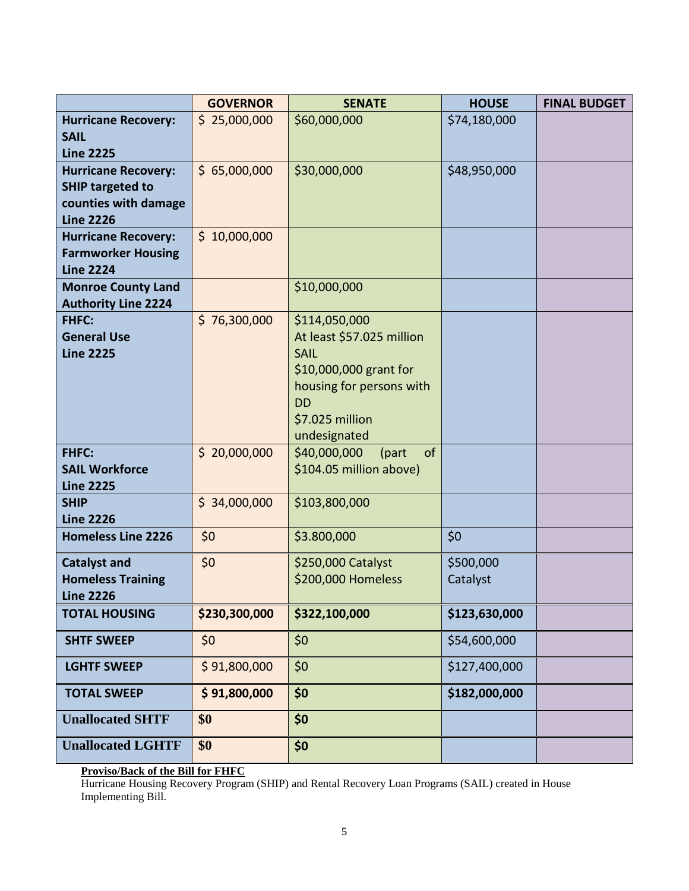|                                                                                                   | <b>GOVERNOR</b> | <b>SENATE</b>                                                                                                                                                   | <b>HOUSE</b>          | <b>FINAL BUDGET</b> |
|---------------------------------------------------------------------------------------------------|-----------------|-----------------------------------------------------------------------------------------------------------------------------------------------------------------|-----------------------|---------------------|
| <b>Hurricane Recovery:</b><br><b>SAIL</b><br><b>Line 2225</b>                                     | \$25,000,000    | \$60,000,000                                                                                                                                                    | \$74,180,000          |                     |
| <b>Hurricane Recovery:</b><br><b>SHIP targeted to</b><br>counties with damage<br><b>Line 2226</b> | \$65,000,000    | \$30,000,000                                                                                                                                                    | \$48,950,000          |                     |
| <b>Hurricane Recovery:</b><br><b>Farmworker Housing</b><br><b>Line 2224</b>                       | \$10,000,000    |                                                                                                                                                                 |                       |                     |
| <b>Monroe County Land</b><br><b>Authority Line 2224</b>                                           |                 | \$10,000,000                                                                                                                                                    |                       |                     |
| <b>FHFC:</b><br><b>General Use</b><br><b>Line 2225</b>                                            | \$76,300,000    | \$114,050,000<br>At least \$57.025 million<br><b>SAIL</b><br>\$10,000,000 grant for<br>housing for persons with<br><b>DD</b><br>\$7.025 million<br>undesignated |                       |                     |
| <b>FHFC:</b><br><b>SAIL Workforce</b><br><b>Line 2225</b>                                         | \$20,000,000    | \$40,000,000<br>of<br>(part<br>\$104.05 million above)                                                                                                          |                       |                     |
| <b>SHIP</b><br><b>Line 2226</b>                                                                   | \$34,000,000    | \$103,800,000                                                                                                                                                   |                       |                     |
| <b>Homeless Line 2226</b>                                                                         | \$0             | \$3.800,000                                                                                                                                                     | \$0                   |                     |
| <b>Catalyst and</b><br><b>Homeless Training</b><br><b>Line 2226</b>                               | \$0             | \$250,000 Catalyst<br>\$200,000 Homeless                                                                                                                        | \$500,000<br>Catalyst |                     |
| <b>TOTAL HOUSING</b>                                                                              | \$230,300,000   | \$322,100,000                                                                                                                                                   | \$123,630,000         |                     |
| <b>SHTF SWEEP</b>                                                                                 | \$0             | \$0                                                                                                                                                             | \$54,600,000          |                     |
| <b>LGHTF SWEEP</b>                                                                                | \$91,800,000    | \$0                                                                                                                                                             | \$127,400,000         |                     |
| <b>TOTAL SWEEP</b>                                                                                | \$91,800,000    | \$0                                                                                                                                                             | \$182,000,000         |                     |
| <b>Unallocated SHTF</b>                                                                           | \$0             | \$0                                                                                                                                                             |                       |                     |
| <b>Unallocated LGHTF</b>                                                                          | \$0             | \$0                                                                                                                                                             |                       |                     |

#### **Proviso/Back of the Bill for FHFC**

Hurricane Housing Recovery Program (SHIP) and Rental Recovery Loan Programs (SAIL) created in House Implementing Bill.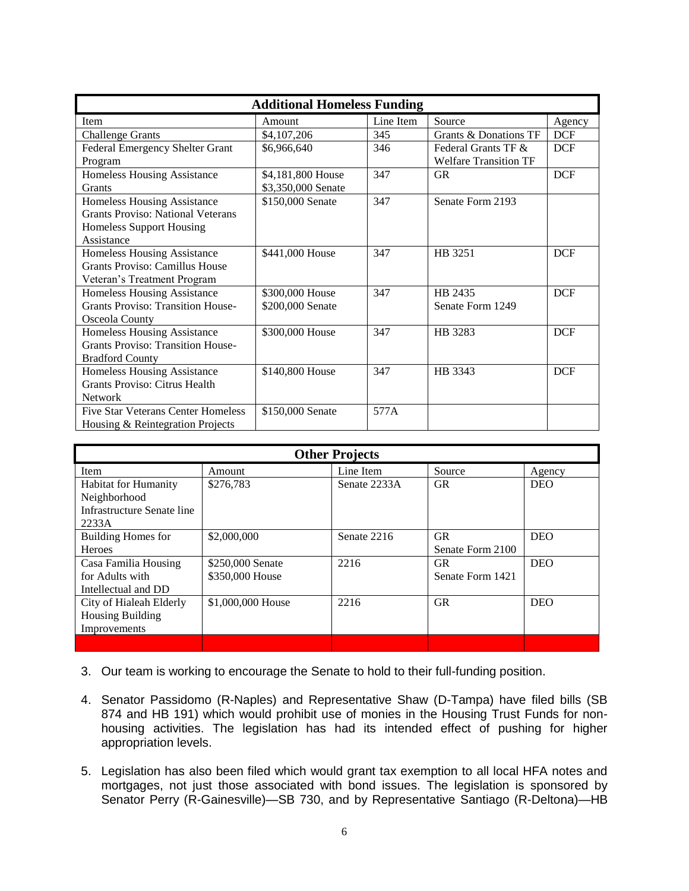| <b>Additional Homeless Funding</b>        |                    |           |                              |            |  |  |
|-------------------------------------------|--------------------|-----------|------------------------------|------------|--|--|
| Item                                      | Amount             | Line Item | Source                       | Agency     |  |  |
| <b>Challenge Grants</b>                   | \$4,107,206        | 345       | Grants & Donations TF        | <b>DCF</b> |  |  |
| Federal Emergency Shelter Grant           | \$6,966,640        | 346       | Federal Grants TF &          | <b>DCF</b> |  |  |
| Program                                   |                    |           | <b>Welfare Transition TF</b> |            |  |  |
| Homeless Housing Assistance               | \$4,181,800 House  | 347       | <b>GR</b>                    | <b>DCF</b> |  |  |
| <b>Grants</b>                             | \$3,350,000 Senate |           |                              |            |  |  |
| Homeless Housing Assistance               | \$150,000 Senate   | 347       | Senate Form 2193             |            |  |  |
| <b>Grants Proviso: National Veterans</b>  |                    |           |                              |            |  |  |
| <b>Homeless Support Housing</b>           |                    |           |                              |            |  |  |
| Assistance                                |                    |           |                              |            |  |  |
| Homeless Housing Assistance               | \$441,000 House    | 347       | HB 3251                      | <b>DCF</b> |  |  |
| Grants Proviso: Camillus House            |                    |           |                              |            |  |  |
| Veteran's Treatment Program               |                    |           |                              |            |  |  |
| Homeless Housing Assistance               | \$300,000 House    | 347       | HB 2435                      | <b>DCF</b> |  |  |
| <b>Grants Proviso: Transition House-</b>  | \$200,000 Senate   |           | Senate Form 1249             |            |  |  |
| Osceola County                            |                    |           |                              |            |  |  |
| Homeless Housing Assistance               | \$300,000 House    | 347       | HB 3283                      | <b>DCF</b> |  |  |
| <b>Grants Proviso: Transition House-</b>  |                    |           |                              |            |  |  |
| <b>Bradford County</b>                    |                    |           |                              |            |  |  |
| Homeless Housing Assistance               | \$140,800 House    | 347       | HB 3343                      | <b>DCF</b> |  |  |
| Grants Proviso: Citrus Health             |                    |           |                              |            |  |  |
| <b>Network</b>                            |                    |           |                              |            |  |  |
| <b>Five Star Veterans Center Homeless</b> | \$150,000 Senate   | 577A      |                              |            |  |  |
| Housing & Reintegration Projects          |                    |           |                              |            |  |  |

| <b>Other Projects</b>       |                   |              |                  |            |  |  |
|-----------------------------|-------------------|--------------|------------------|------------|--|--|
| Item                        | Amount            | Line Item    | Source           | Agency     |  |  |
| <b>Habitat for Humanity</b> | \$276,783         | Senate 2233A | <b>GR</b>        | <b>DEO</b> |  |  |
| Neighborhood                |                   |              |                  |            |  |  |
| Infrastructure Senate line  |                   |              |                  |            |  |  |
| 2233A                       |                   |              |                  |            |  |  |
| <b>Building Homes for</b>   | \$2,000,000       | Senate 2216  | <b>GR</b>        | <b>DEO</b> |  |  |
| <b>Heroes</b>               |                   |              | Senate Form 2100 |            |  |  |
| Casa Familia Housing        | \$250,000 Senate  | 2216         | <b>GR</b>        | <b>DEO</b> |  |  |
| for Adults with             | \$350,000 House   |              | Senate Form 1421 |            |  |  |
| Intellectual and DD         |                   |              |                  |            |  |  |
| City of Hialeah Elderly     | \$1,000,000 House | 2216         | <b>GR</b>        | <b>DEO</b> |  |  |
| <b>Housing Building</b>     |                   |              |                  |            |  |  |
| Improvements                |                   |              |                  |            |  |  |
|                             |                   |              |                  |            |  |  |

- 3. Our team is working to encourage the Senate to hold to their full-funding position.
- 4. Senator Passidomo (R-Naples) and Representative Shaw (D-Tampa) have filed bills (SB 874 and HB 191) which would prohibit use of monies in the Housing Trust Funds for nonhousing activities. The legislation has had its intended effect of pushing for higher appropriation levels.
- 5. Legislation has also been filed which would grant tax exemption to all local HFA notes and mortgages, not just those associated with bond issues. The legislation is sponsored by Senator Perry (R-Gainesville)—SB 730, and by Representative Santiago (R-Deltona)—HB